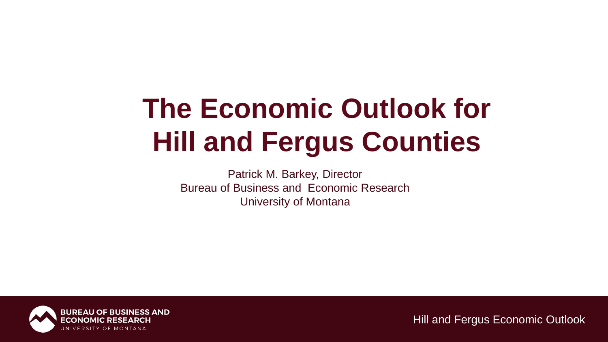# **The Economic Outlook for Hill and Fergus Counties**

Patrick M. Barkey, Director Bureau of Business and Economic Research University of Montana

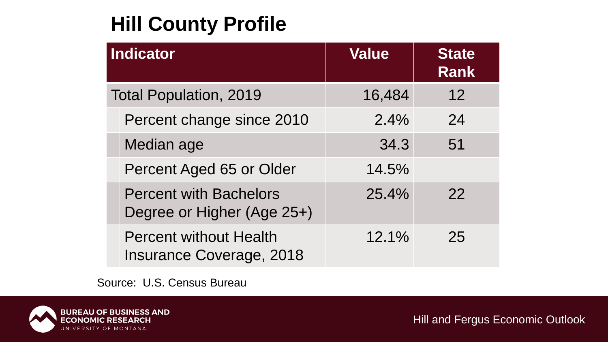# **Hill County Profile**

| <b>Indicator</b> |                                                                  | <b>Value</b> | <b>State</b><br><b>Rank</b> |
|------------------|------------------------------------------------------------------|--------------|-----------------------------|
|                  | <b>Total Population, 2019</b>                                    | 16,484       | 12                          |
|                  | Percent change since 2010                                        | 2.4%         | 24                          |
|                  | Median age                                                       | 34.3         | 51                          |
|                  | Percent Aged 65 or Older                                         | 14.5%        |                             |
|                  | <b>Percent with Bachelors</b><br>Degree or Higher (Age 25+)      | 25.4%        | 22                          |
|                  | <b>Percent without Health</b><br><b>Insurance Coverage, 2018</b> | 12.1%        | 25                          |

Source: U.S. Census Bureau

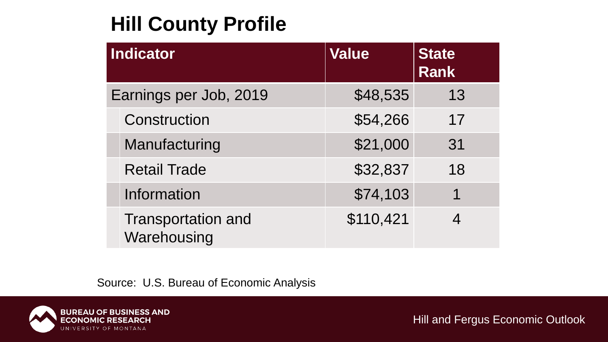# **Hill County Profile**

| <b>Indicator</b> |                                          | <b>Value</b> | <b>State</b><br><b>Rank</b> |
|------------------|------------------------------------------|--------------|-----------------------------|
|                  | Earnings per Job, 2019                   | \$48,535     | 13                          |
|                  | Construction                             | \$54,266     | 17                          |
|                  | Manufacturing                            | \$21,000     | 31                          |
|                  | <b>Retail Trade</b>                      | \$32,837     | 18                          |
|                  | <b>Information</b>                       | \$74,103     | 1                           |
|                  | <b>Transportation and</b><br>Warehousing | \$110,421    |                             |

Source: U.S. Bureau of Economic Analysis

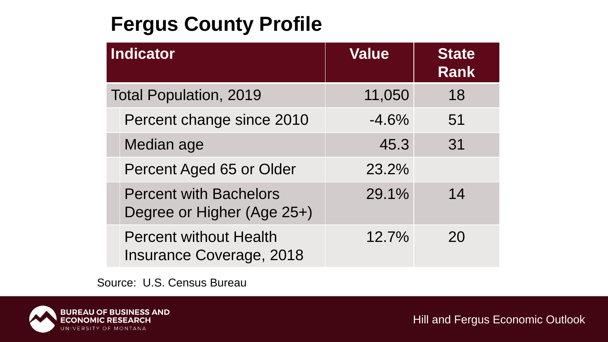# **Fergus County Profile**

| <b>Indicator</b> |                                                                  | <b>Value</b> | <b>State</b><br><b>Rank</b> |
|------------------|------------------------------------------------------------------|--------------|-----------------------------|
|                  | <b>Total Population, 2019</b>                                    | 11,050       | 18                          |
|                  | Percent change since 2010                                        | $-4.6%$      | 51                          |
|                  | Median age                                                       | 45.3         | 31                          |
|                  | Percent Aged 65 or Older                                         | 23.2%        |                             |
|                  | <b>Percent with Bachelors</b><br>Degree or Higher (Age 25+)      | 29.1%        | 14                          |
|                  | <b>Percent without Health</b><br><b>Insurance Coverage, 2018</b> | 12.7%        | 20                          |

Source: U.S. Census Bureau

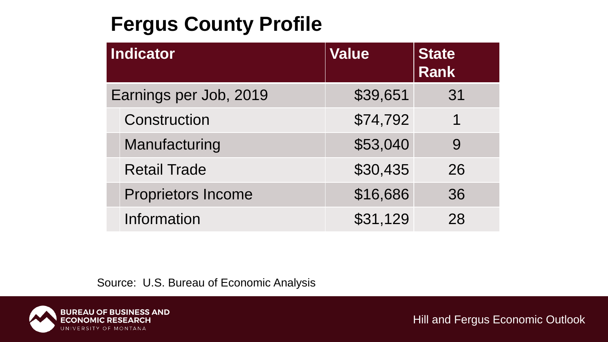# **Fergus County Profile**

| Indicator                 | <b>Value</b> | <b>State</b><br><b>Rank</b> |
|---------------------------|--------------|-----------------------------|
| Earnings per Job, 2019    | \$39,651     | 31                          |
| Construction              | \$74,792     | 1                           |
| Manufacturing             | \$53,040     | 9                           |
| <b>Retail Trade</b>       | \$30,435     | 26                          |
| <b>Proprietors Income</b> | \$16,686     | 36                          |
| Information               | \$31,129     | 28                          |

Source: U.S. Bureau of Economic Analysis

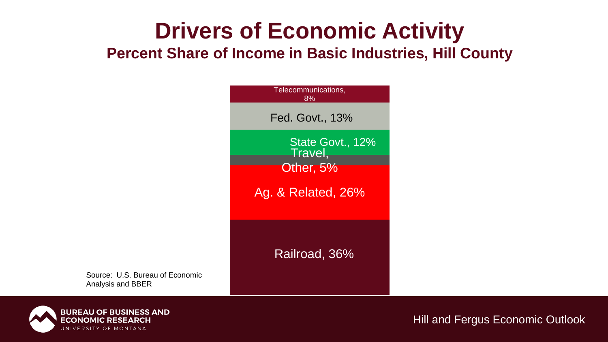# **Drivers of Economic Activity**

**Percent Share of Income in Basic Industries, Hill County**

| Telecommunications,<br>8%                                      |
|----------------------------------------------------------------|
| Fed. Govt., 13%                                                |
| State Govt., 12%<br>Travel,<br>Other, 5%<br>Ag. & Related, 26% |
| Railroad, 36%                                                  |

Source: U.S. Bureau of Economic Analysis and BBER

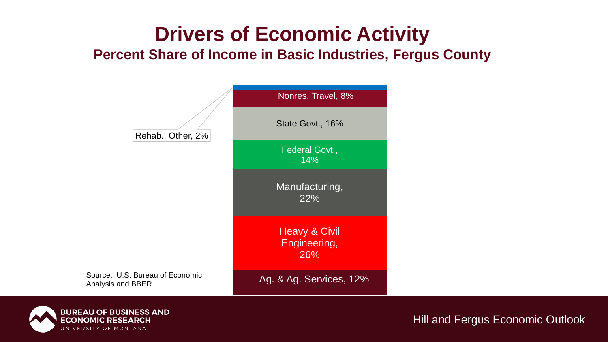# **Drivers of Economic Activity**

#### **Percent Share of Income in Basic Industries, Fergus County**



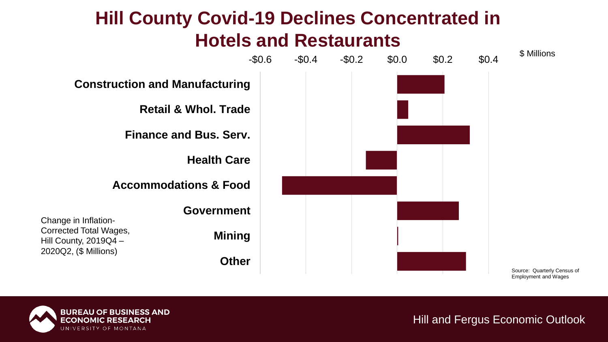### **Hill County Covid-19 Declines Concentrated in Hotels and Restaurants**



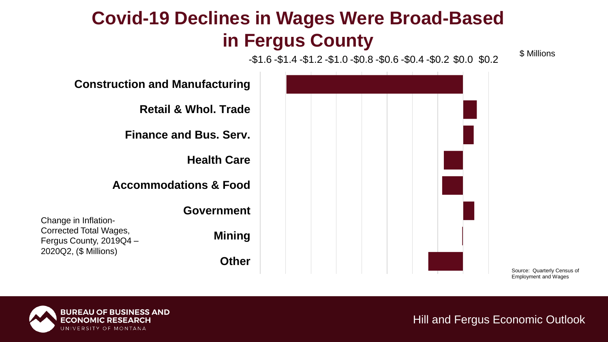### **Covid-19 Declines in Wages Were Broad-Based in Fergus County**

-\$1.6 -\$1.4 -\$1.2 -\$1.0 -\$0.8 -\$0.6 -\$0.4 -\$0.2 \$0.0 \$0.2



Source: Quarterly Census of Employment and Wages

\$ Millions

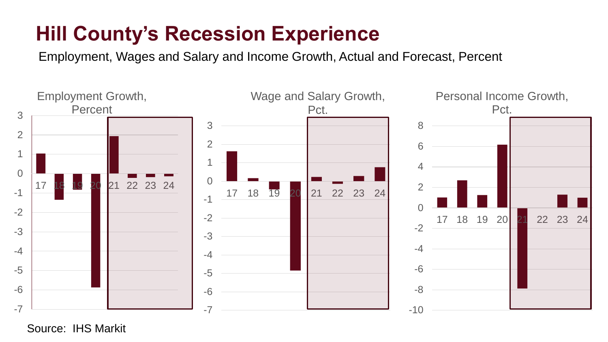### **Hill County's Recession Experience**

Employment, Wages and Salary and Income Growth, Actual and Forecast, Percent



Source: IHS Markit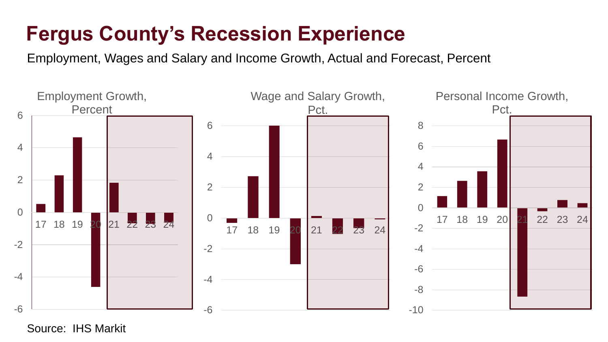### **Fergus County's Recession Experience**

Employment, Wages and Salary and Income Growth, Actual and Forecast, Percent



Source: IHS Markit